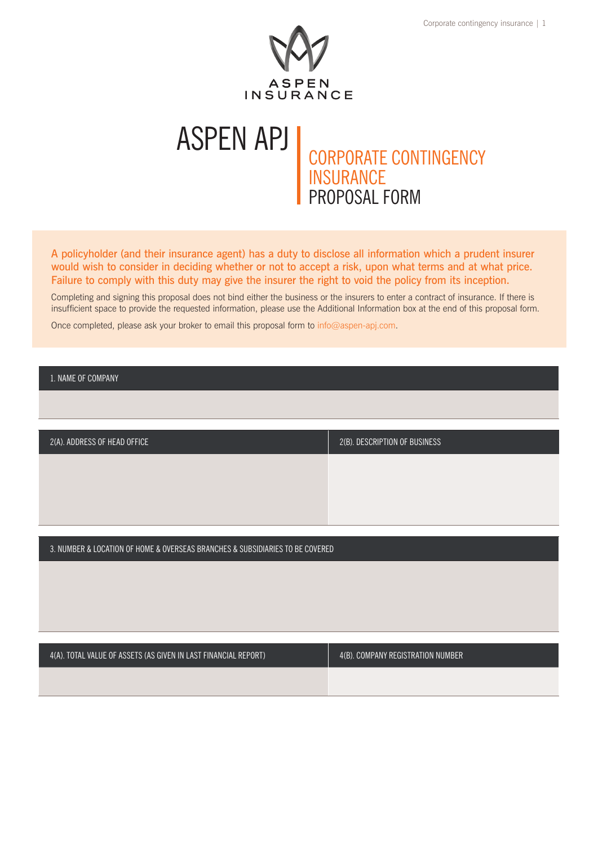

# CORPORATE CONTINGENCY INSURANCE PROPOSAL FORM ASPEN APJ

A policyholder (and their insurance agent) has a duty to disclose all information which a prudent insurer would wish to consider in deciding whether or not to accept a risk, upon what terms and at what price. Failure to comply with this duty may give the insurer the right to void the policy from its inception.

Completing and signing this proposal does not bind either the business or the insurers to enter a contract of insurance. If there is insufficient space to provide the requested information, please use the Additional Information box at the end of this proposal form.

Once completed, please ask your broker to email this proposal form to [info@aspen-apj.com.](mailto:info%40aspen-apj.com?subject=)

1. NAME OF COMPANY

| 2(A). ADDRESS OF HEAD OFFICE | $2(B)$ . DESCRIPTION OF BUSINESS |
|------------------------------|----------------------------------|
|                              |                                  |
|                              |                                  |
|                              |                                  |

3. NUMBER & LOCATION OF HOME & OVERSEAS BRANCHES & SUBSIDIARIES TO BE COVERED

| 4(A). TOTAL VALUE OF ASSETS (AS GIVEN IN LAST FINANCIAL REPORT) | 4(B). COMPANY REGISTRATION NUMBER |  |  |
|-----------------------------------------------------------------|-----------------------------------|--|--|
|                                                                 |                                   |  |  |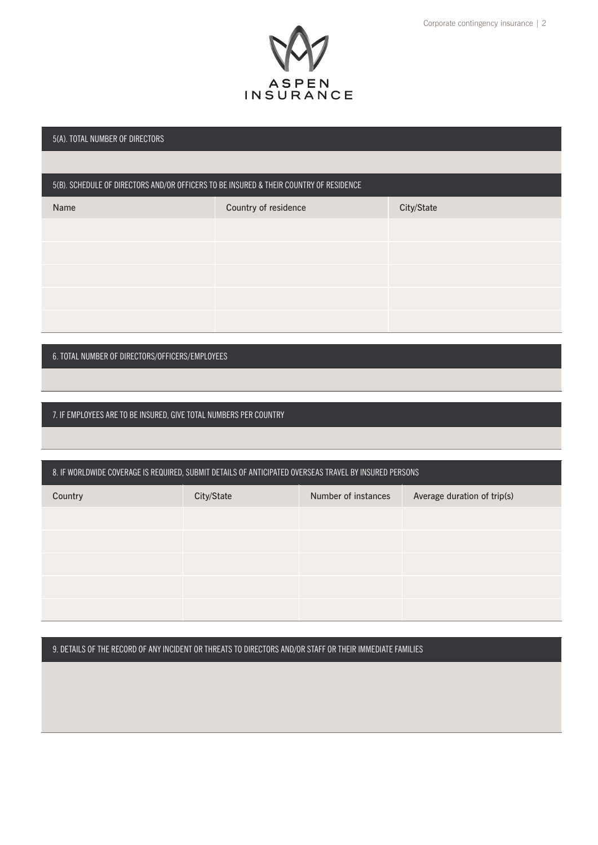

#### 5(A). TOTAL NUMBER OF DIRECTORS

### 5(B). SCHEDULE OF DIRECTORS AND/OR OFFICERS TO BE INSURED & THEIR COUNTRY OF RESIDENCE

| Name | Country of residence | City/State |
|------|----------------------|------------|
|      |                      |            |
|      |                      |            |
|      |                      |            |
|      |                      |            |
|      |                      |            |

6. TOTAL NUMBER OF DIRECTORS/OFFICERS/EMPLOYEES

7. IF EMPLOYEES ARE TO BE INSURED, GIVE TOTAL NUMBERS PER COUNTRY

| 8. IF WORLDWIDE COVERAGE IS REQUIRED, SUBMIT DETAILS OF ANTICIPATED OVERSEAS TRAVEL BY INSURED PERSONS |            |                     |                             |
|--------------------------------------------------------------------------------------------------------|------------|---------------------|-----------------------------|
| Country                                                                                                | City/State | Number of instances | Average duration of trip(s) |
|                                                                                                        |            |                     |                             |
|                                                                                                        |            |                     |                             |
|                                                                                                        |            |                     |                             |
|                                                                                                        |            |                     |                             |
|                                                                                                        |            |                     |                             |

9. DETAILS OF THE RECORD OF ANY INCIDENT OR THREATS TO DIRECTORS AND/OR STAFF OR THEIR IMMEDIATE FAMILIES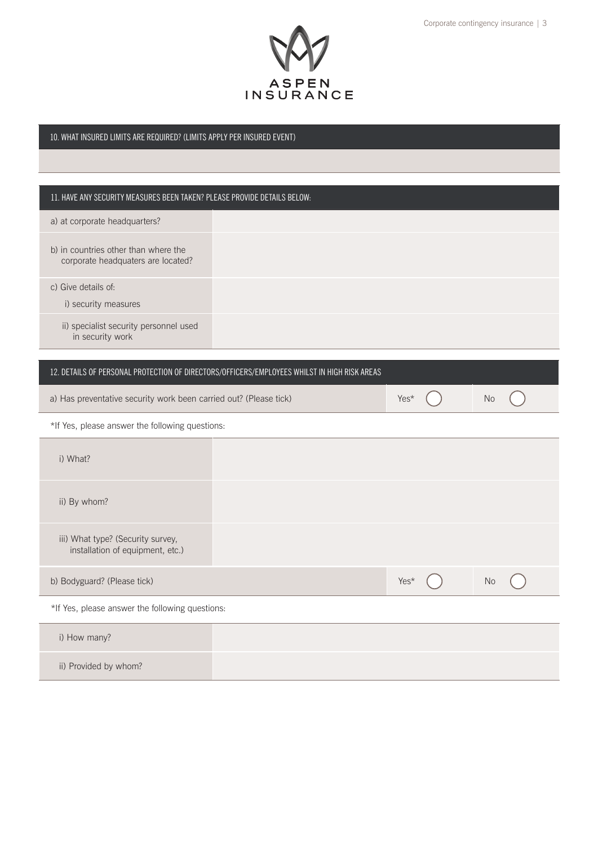

### 10. WHAT INSURED LIMITS ARE REQUIRED? (LIMITS APPLY PER INSURED EVENT)

## 11. HAVE ANY SECURITY MEASURES BEEN TAKEN? PLEASE PROVIDE DETAILS BELOW:

| a) at corporate headquarters?                                              |                                                                                              |      |           |  |
|----------------------------------------------------------------------------|----------------------------------------------------------------------------------------------|------|-----------|--|
| b) in countries other than where the<br>corporate headquaters are located? |                                                                                              |      |           |  |
| c) Give details of:<br>i) security measures                                |                                                                                              |      |           |  |
| ii) specialist security personnel used<br>in security work                 |                                                                                              |      |           |  |
|                                                                            | 12. DETAILS OF PERSONAL PROTECTION OF DIRECTORS/OFFICERS/EMPLOYEES WHILST IN HIGH RISK AREAS |      |           |  |
|                                                                            |                                                                                              |      |           |  |
| a) Has preventative security work been carried out? (Please tick)          |                                                                                              | Yes* | <b>No</b> |  |
| *If Yes, please answer the following questions:                            |                                                                                              |      |           |  |
| i) What?                                                                   |                                                                                              |      |           |  |
| ii) By whom?                                                               |                                                                                              |      |           |  |
| iii) What type? (Security survey,<br>installation of equipment, etc.)      |                                                                                              |      |           |  |
| b) Bodyguard? (Please tick)                                                |                                                                                              | Yes* | <b>No</b> |  |
| *If Yes, please answer the following questions:                            |                                                                                              |      |           |  |
| i) How many?                                                               |                                                                                              |      |           |  |
| ii) Provided by whom?                                                      |                                                                                              |      |           |  |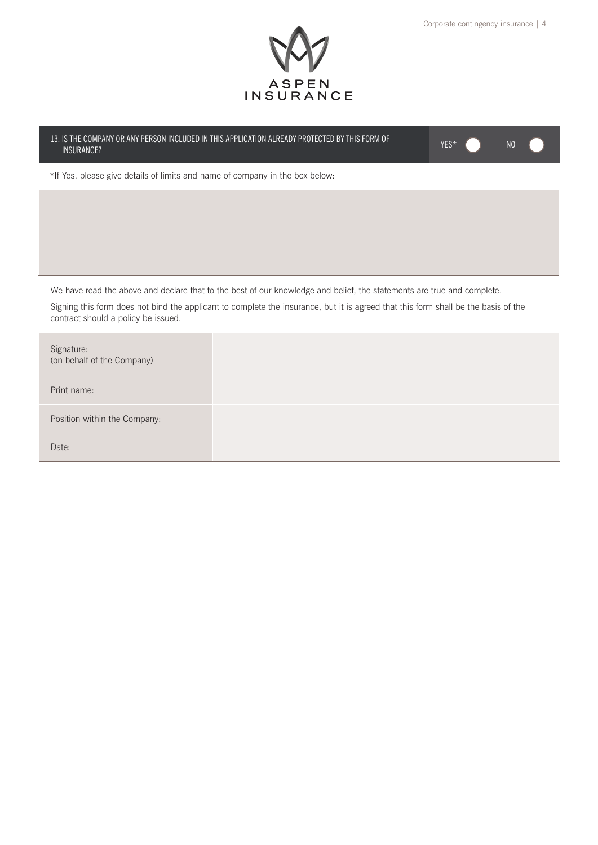

13. IS THE COMPANY OR ANY PERSON INCLUDED IN THIS APPLICATION ALREADY PROTECTED BY THIS FORM OF YES\* NO MUSURANCE?

\*If Yes, please give details of limits and name of company in the box below:

We have read the above and declare that to the best of our knowledge and belief, the statements are true and complete.

Signing this form does not bind the applicant to complete the insurance, but it is agreed that this form shall be the basis of the contract should a policy be issued.

| Signature:<br>(on behalf of the Company) |  |
|------------------------------------------|--|
| Print name:                              |  |
| Position within the Company:             |  |
| Date:                                    |  |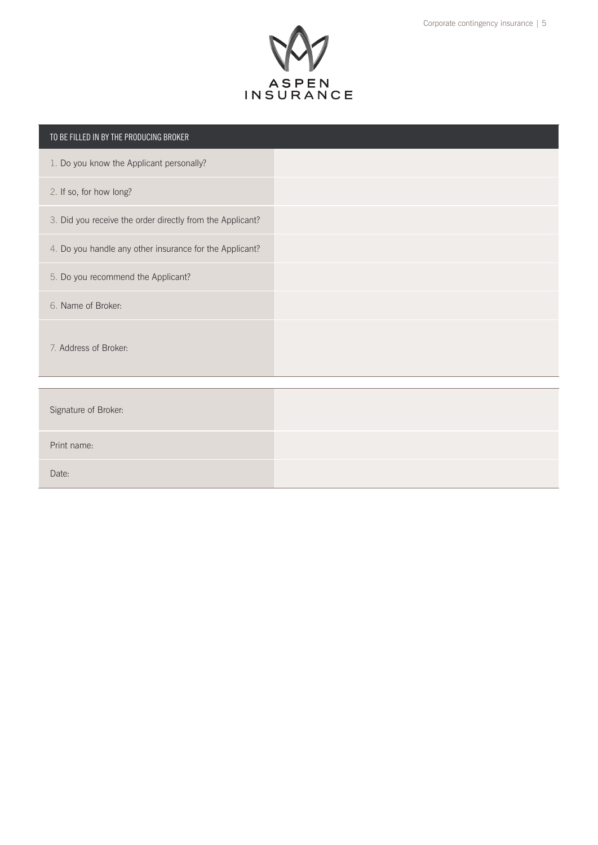

| TO BE FILLED IN BY THE PRODUCING BROKER                   |  |
|-----------------------------------------------------------|--|
| 1. Do you know the Applicant personally?                  |  |
| 2. If so, for how long?                                   |  |
| 3. Did you receive the order directly from the Applicant? |  |
| 4. Do you handle any other insurance for the Applicant?   |  |
| 5. Do you recommend the Applicant?                        |  |
| 6. Name of Broker:                                        |  |
| 7. Address of Broker:                                     |  |
|                                                           |  |
| Signature of Broker:                                      |  |
| Print name:                                               |  |
| Date:                                                     |  |